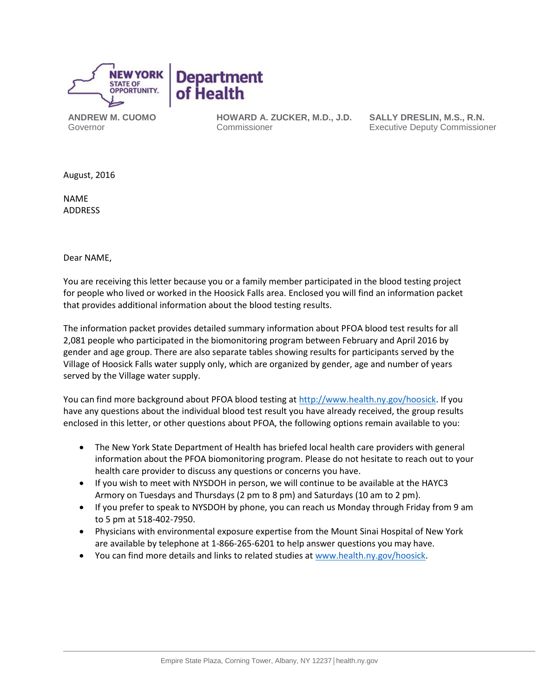

**ANDREW M. CUOMO** Governor

**HOWARD A. ZUCKER, M.D., J.D.** Commissioner

**SALLY DRESLIN, M.S., R.N.** Executive Deputy Commissioner

August, 2016

NAME ADDRESS

Dear NAME,

You are receiving this letter because you or a family member participated in the blood testing project for people who lived or worked in the Hoosick Falls area. Enclosed you will find an information packet that provides additional information about the blood testing results.

The information packet provides detailed summary information about PFOA blood test results for all 2,081 people who participated in the biomonitoring program between February and April 2016 by gender and age group. There are also separate tables showing results for participants served by the Village of Hoosick Falls water supply only, which are organized by gender, age and number of years served by the Village water supply.

You can find more background about PFOA blood testing at [http://www.health.ny.gov/hoosick.](http://www.health.ny.gov/hoosick) If you have any questions about the individual blood test result you have already received, the group results enclosed in this letter, or other questions about PFOA, the following options remain available to you:

- The New York State Department of Health has briefed local health care providers with general information about the PFOA biomonitoring program. Please do not hesitate to reach out to your health care provider to discuss any questions or concerns you have.
- If you wish to meet with NYSDOH in person, we will continue to be available at the HAYC3 Armory on Tuesdays and Thursdays (2 pm to 8 pm) and Saturdays (10 am to 2 pm).
- If you prefer to speak to NYSDOH by phone, you can reach us Monday through Friday from 9 am to 5 pm at 518-402-7950.
- Physicians with environmental exposure expertise from the Mount Sinai Hospital of New York are available by telephone at 1-866-265-6201 to help answer questions you may have.
- You can find more details and links to related studies at [www.health.ny.gov/hoosick.](http://www.health.ny.gov/hoosick)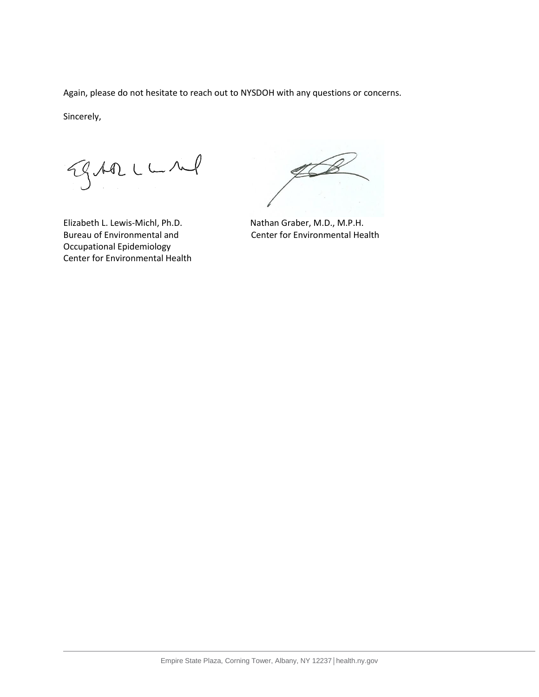Again, please do not hesitate to reach out to NYSDOH with any questions or concerns.

Sincerely,

Egrope

Elizabeth L. Lewis-Michl, Ph.D. Nathan Graber, M.D., M.P.H. Occupational Epidemiology Center for Environmental Health

Ą

Bureau of Environmental and Center for Environmental Health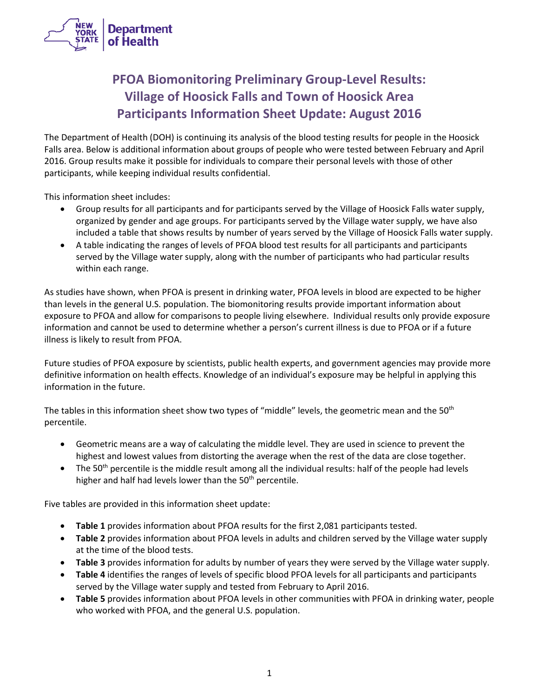

# **PFOA Biomonitoring Preliminary Group-Level Results: Village of Hoosick Falls and Town of Hoosick Area Participants Information Sheet Update: August 2016**

The Department of Health (DOH) is continuing its analysis of the blood testing results for people in the Hoosick Falls area. Below is additional information about groups of people who were tested between February and April 2016. Group results make it possible for individuals to compare their personal levels with those of other participants, while keeping individual results confidential.

This information sheet includes:

- Group results for all participants and for participants served by the Village of Hoosick Falls water supply, organized by gender and age groups. For participants served by the Village water supply, we have also included a table that shows results by number of years served by the Village of Hoosick Falls water supply.
- A table indicating the ranges of levels of PFOA blood test results for all participants and participants served by the Village water supply, along with the number of participants who had particular results within each range.

As studies have shown, when PFOA is present in drinking water, PFOA levels in blood are expected to be higher than levels in the general U.S. population. The biomonitoring results provide important information about exposure to PFOA and allow for comparisons to people living elsewhere. Individual results only provide exposure information and cannot be used to determine whether a person's current illness is due to PFOA or if a future illness is likely to result from PFOA.

Future studies of PFOA exposure by scientists, public health experts, and government agencies may provide more definitive information on health effects. Knowledge of an individual's exposure may be helpful in applying this information in the future.

The tables in this information sheet show two types of "middle" levels, the geometric mean and the 50<sup>th</sup> percentile.

- Geometric means are a way of calculating the middle level. They are used in science to prevent the highest and lowest values from distorting the average when the rest of the data are close together.
- The 50<sup>th</sup> percentile is the middle result among all the individual results: half of the people had levels higher and half had levels lower than the  $50<sup>th</sup>$  percentile.

Five tables are provided in this information sheet update:

- **Table 1** provides information about PFOA results for the first 2,081 participants tested.
- **Table 2** provides information about PFOA levels in adults and children served by the Village water supply at the time of the blood tests.
- **Table 3** provides information for adults by number of years they were served by the Village water supply.
- **Table 4** identifies the ranges of levels of specific blood PFOA levels for all participants and participants served by the Village water supply and tested from February to April 2016.
- **Table 5** provides information about PFOA levels in other communities with PFOA in drinking water, people who worked with PFOA, and the general U.S. population.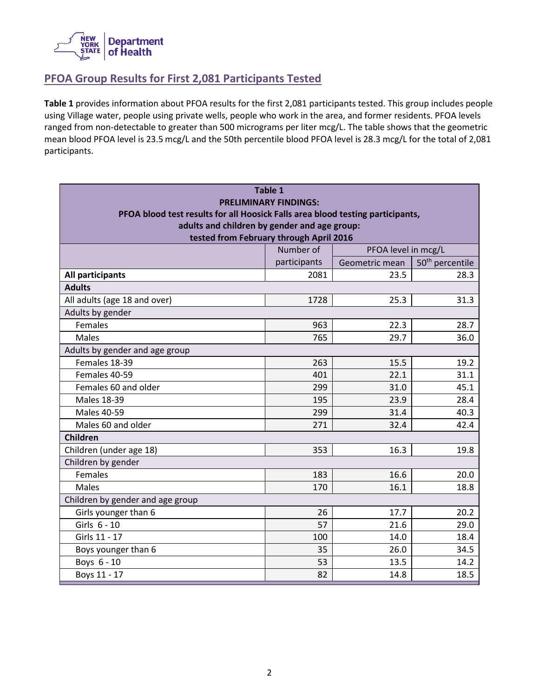

# **PFOA Group Results for First 2,081 Participants Tested**

**Table 1** provides information about PFOA results for the first 2,081 participants tested. This group includes people using Village water, people using private wells, people who work in the area, and former residents. PFOA levels ranged from non-detectable to greater than 500 micrograms per liter mcg/L. The table shows that the geometric mean blood PFOA level is 23.5 mcg/L and the 50th percentile blood PFOA level is 28.3 mcg/L for the total of 2,081 participants.

| <b>Table 1</b>                                                                                                 |                                  |                |                             |  |  |  |  |
|----------------------------------------------------------------------------------------------------------------|----------------------------------|----------------|-----------------------------|--|--|--|--|
| <b>PRELIMINARY FINDINGS:</b><br>PFOA blood test results for all Hoosick Falls area blood testing participants, |                                  |                |                             |  |  |  |  |
| adults and children by gender and age group:                                                                   |                                  |                |                             |  |  |  |  |
| tested from February through April 2016                                                                        |                                  |                |                             |  |  |  |  |
|                                                                                                                | Number of<br>PFOA level in mcg/L |                |                             |  |  |  |  |
|                                                                                                                | participants                     | Geometric mean | 50 <sup>th</sup> percentile |  |  |  |  |
| All participants                                                                                               | 2081                             | 23.5           | 28.3                        |  |  |  |  |
| <b>Adults</b>                                                                                                  |                                  |                |                             |  |  |  |  |
| All adults (age 18 and over)                                                                                   | 1728                             | 25.3           | 31.3                        |  |  |  |  |
| Adults by gender                                                                                               |                                  |                |                             |  |  |  |  |
| Females                                                                                                        | 963                              | 22.3           | 28.7                        |  |  |  |  |
| <b>Males</b>                                                                                                   | 765                              | 29.7           | 36.0                        |  |  |  |  |
| Adults by gender and age group                                                                                 |                                  |                |                             |  |  |  |  |
| Females 18-39                                                                                                  | 263                              | 15.5           | 19.2                        |  |  |  |  |
| Females 40-59                                                                                                  | 401                              | 22.1           | 31.1                        |  |  |  |  |
| Females 60 and older                                                                                           | 299                              | 31.0           | 45.1                        |  |  |  |  |
| <b>Males 18-39</b>                                                                                             | 195                              | 23.9           | 28.4                        |  |  |  |  |
| <b>Males 40-59</b>                                                                                             | 299                              | 31.4           | 40.3                        |  |  |  |  |
| Males 60 and older                                                                                             | 271                              | 32.4           | 42.4                        |  |  |  |  |
| <b>Children</b>                                                                                                |                                  |                |                             |  |  |  |  |
| Children (under age 18)                                                                                        | 353                              | 16.3           | 19.8                        |  |  |  |  |
| Children by gender                                                                                             |                                  |                |                             |  |  |  |  |
| Females                                                                                                        | 183                              | 16.6           | 20.0                        |  |  |  |  |
| Males                                                                                                          | 170                              | 16.1           | 18.8                        |  |  |  |  |
| Children by gender and age group                                                                               |                                  |                |                             |  |  |  |  |
| Girls younger than 6                                                                                           | 26                               | 17.7           | 20.2                        |  |  |  |  |
| Girls 6 - 10                                                                                                   | 57                               | 21.6           | 29.0                        |  |  |  |  |
| Girls 11 - 17                                                                                                  | 100                              | 14.0           | 18.4                        |  |  |  |  |
| Boys younger than 6                                                                                            | 35                               | 26.0           | 34.5                        |  |  |  |  |
| Boys 6 - 10                                                                                                    | 53                               | 13.5           | 14.2                        |  |  |  |  |
| Boys 11 - 17                                                                                                   | 82                               | 14.8           | 18.5                        |  |  |  |  |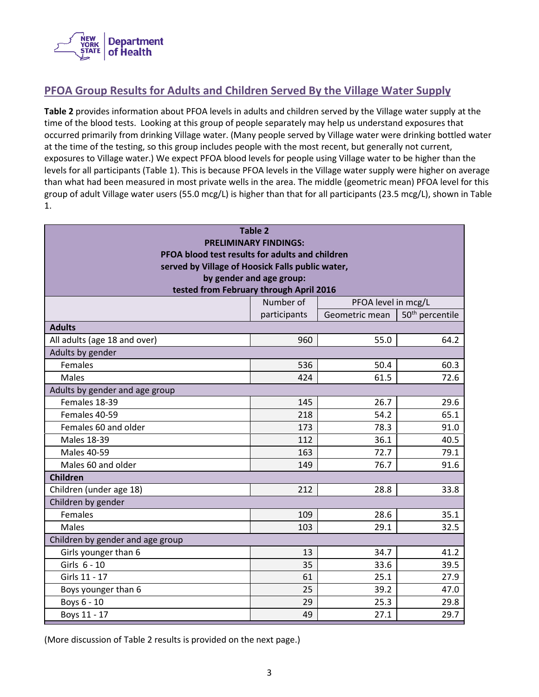

# **PFOA Group Results for Adults and Children Served By the Village Water Supply**

**Table 2** provides information about PFOA levels in adults and children served by the Village water supply at the time of the blood tests. Looking at this group of people separately may help us understand exposures that occurred primarily from drinking Village water. (Many people served by Village water were drinking bottled water at the time of the testing, so this group includes people with the most recent, but generally not current, exposures to Village water.) We expect PFOA blood levels for people using Village water to be higher than the levels for all participants (Table 1). This is because PFOA levels in the Village water supply were higher on average than what had been measured in most private wells in the area. The middle (geometric mean) PFOA level for this group of adult Village water users (55.0 mcg/L) is higher than that for all participants (23.5 mcg/L), shown in Table 1.

| <b>Table 2</b>                                                               |                                                               |      |      |  |  |  |  |
|------------------------------------------------------------------------------|---------------------------------------------------------------|------|------|--|--|--|--|
|                                                                              | <b>PRELIMINARY FINDINGS:</b>                                  |      |      |  |  |  |  |
| PFOA blood test results for adults and children                              |                                                               |      |      |  |  |  |  |
| served by Village of Hoosick Falls public water,<br>by gender and age group: |                                                               |      |      |  |  |  |  |
| tested from February through April 2016                                      |                                                               |      |      |  |  |  |  |
| Number of<br>PFOA level in mcg/L                                             |                                                               |      |      |  |  |  |  |
|                                                                              | participants<br>50 <sup>th</sup> percentile<br>Geometric mean |      |      |  |  |  |  |
| <b>Adults</b>                                                                |                                                               |      |      |  |  |  |  |
| All adults (age 18 and over)                                                 | 960                                                           | 55.0 | 64.2 |  |  |  |  |
| Adults by gender                                                             |                                                               |      |      |  |  |  |  |
| Females                                                                      | 536                                                           | 50.4 | 60.3 |  |  |  |  |
| <b>Males</b>                                                                 | 424                                                           | 61.5 | 72.6 |  |  |  |  |
| Adults by gender and age group                                               |                                                               |      |      |  |  |  |  |
| Females 18-39                                                                | 145                                                           | 26.7 | 29.6 |  |  |  |  |
| Females 40-59                                                                | 218                                                           | 54.2 | 65.1 |  |  |  |  |
| Females 60 and older                                                         | 173                                                           | 78.3 | 91.0 |  |  |  |  |
| <b>Males 18-39</b>                                                           | 112                                                           | 36.1 | 40.5 |  |  |  |  |
| <b>Males 40-59</b>                                                           | 163                                                           | 72.7 | 79.1 |  |  |  |  |
| Males 60 and older                                                           | 149                                                           | 76.7 | 91.6 |  |  |  |  |
| <b>Children</b>                                                              |                                                               |      |      |  |  |  |  |
| Children (under age 18)                                                      | 212                                                           | 28.8 | 33.8 |  |  |  |  |
| Children by gender                                                           |                                                               |      |      |  |  |  |  |
| Females                                                                      | 109                                                           | 28.6 | 35.1 |  |  |  |  |
| <b>Males</b>                                                                 | 103                                                           | 29.1 | 32.5 |  |  |  |  |
| Children by gender and age group                                             |                                                               |      |      |  |  |  |  |
| Girls younger than 6                                                         | 13                                                            | 34.7 | 41.2 |  |  |  |  |
| Girls 6 - 10                                                                 | 35                                                            | 33.6 | 39.5 |  |  |  |  |
| Girls 11 - 17                                                                | 61                                                            | 25.1 | 27.9 |  |  |  |  |
| Boys younger than 6                                                          | 25                                                            | 39.2 | 47.0 |  |  |  |  |
| Boys 6 - 10                                                                  | 29                                                            | 25.3 | 29.8 |  |  |  |  |
| Boys 11 - 17                                                                 | 49                                                            | 27.1 | 29.7 |  |  |  |  |

(More discussion of Table 2 results is provided on the next page.)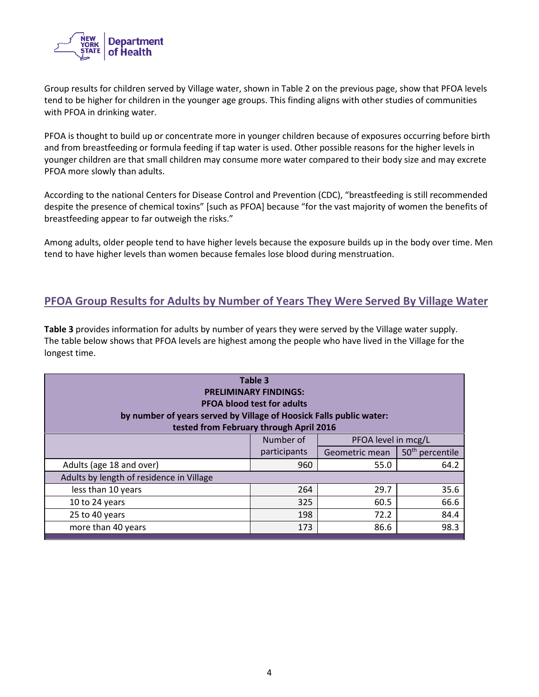

Group results for children served by Village water, shown in Table 2 on the previous page, show that PFOA levels tend to be higher for children in the younger age groups. This finding aligns with other studies of communities with PFOA in drinking water.

PFOA is thought to build up or concentrate more in younger children because of exposures occurring before birth and from breastfeeding or formula feeding if tap water is used. Other possible reasons for the higher levels in younger children are that small children may consume more water compared to their body size and may excrete PFOA more slowly than adults.

According to the national Centers for Disease Control and Prevention (CDC), "breastfeeding is still recommended despite the presence of chemical toxins" [such as PFOA] because "for the vast majority of women the benefits of breastfeeding appear to far outweigh the risks."

Among adults, older people tend to have higher levels because the exposure builds up in the body over time. Men tend to have higher levels than women because females lose blood during menstruation.

### **PFOA Group Results for Adults by Number of Years They Were Served By Village Water**

**Table 3** provides information for adults by number of years they were served by the Village water supply. The table below shows that PFOA levels are highest among the people who have lived in the Village for the longest time.

| Table 3<br><b>PRELIMINARY FINDINGS:</b><br><b>PFOA blood test for adults</b><br>by number of years served by Village of Hoosick Falls public water:<br>tested from February through April 2016 |              |                     |                             |  |  |  |
|------------------------------------------------------------------------------------------------------------------------------------------------------------------------------------------------|--------------|---------------------|-----------------------------|--|--|--|
|                                                                                                                                                                                                | Number of    | PFOA level in mcg/L |                             |  |  |  |
|                                                                                                                                                                                                | participants | Geometric mean      | 50 <sup>th</sup> percentile |  |  |  |
| Adults (age 18 and over)                                                                                                                                                                       | 960          | 64.2<br>55.0        |                             |  |  |  |
| Adults by length of residence in Village                                                                                                                                                       |              |                     |                             |  |  |  |
| less than 10 years                                                                                                                                                                             | 264          | 29.7                | 35.6                        |  |  |  |
| 10 to 24 years                                                                                                                                                                                 | 325          | 60.5                | 66.6                        |  |  |  |
| 25 to 40 years                                                                                                                                                                                 | 198          | 72.2                | 84.4                        |  |  |  |
| more than 40 years                                                                                                                                                                             | 173          | 98.3<br>86.6        |                             |  |  |  |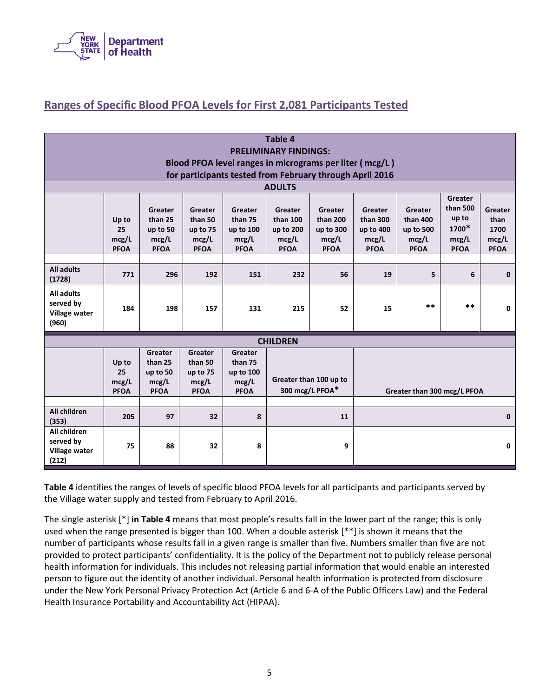

# **Ranges of Specific Blood PFOA Levels for First 2,081 Participants Tested**

| <b>Table 4</b><br><b>PRELIMINARY FINDINGS:</b><br>Blood PFOA level ranges in micrograms per liter (mcg/L)<br>for participants tested from February through April 2016 |                                     |                                                        |                                                        |                                                         |                                                          |                                                          |                                                          |                                                          |                                                               |                                                 |
|-----------------------------------------------------------------------------------------------------------------------------------------------------------------------|-------------------------------------|--------------------------------------------------------|--------------------------------------------------------|---------------------------------------------------------|----------------------------------------------------------|----------------------------------------------------------|----------------------------------------------------------|----------------------------------------------------------|---------------------------------------------------------------|-------------------------------------------------|
|                                                                                                                                                                       |                                     |                                                        |                                                        |                                                         | <b>ADULTS</b>                                            |                                                          |                                                          |                                                          |                                                               |                                                 |
|                                                                                                                                                                       | Up to<br>25<br>mcg/L<br><b>PFOA</b> | Greater<br>than 25<br>up to 50<br>mcg/L<br><b>PFOA</b> | Greater<br>than 50<br>up to 75<br>mcg/L<br><b>PFOA</b> | Greater<br>than 75<br>up to 100<br>mcg/L<br><b>PFOA</b> | Greater<br>than 100<br>up to 200<br>mcg/L<br><b>PFOA</b> | Greater<br>than 200<br>up to 300<br>mcg/L<br><b>PFOA</b> | Greater<br>than 300<br>up to 400<br>mcg/L<br><b>PFOA</b> | Greater<br>than 400<br>up to 500<br>mcg/L<br><b>PFOA</b> | Greater<br>than 500<br>up to<br>1700*<br>mcg/L<br><b>PFOA</b> | Greater<br>than<br>1700<br>mcg/L<br><b>PFOA</b> |
| <b>All adults</b><br>(1728)                                                                                                                                           | 771                                 | 296                                                    | 192                                                    | 151                                                     | 232                                                      | 56                                                       | 19                                                       | 5                                                        | 6                                                             | $\mathbf{0}$                                    |
| <b>All adults</b><br>served by<br>Village water<br>(960)                                                                                                              | 184                                 | 198                                                    | 157                                                    | 131                                                     | 215                                                      | 52                                                       | 15                                                       | **                                                       | $* *$                                                         | $\mathbf 0$                                     |
| <b>CHILDREN</b>                                                                                                                                                       |                                     |                                                        |                                                        |                                                         |                                                          |                                                          |                                                          |                                                          |                                                               |                                                 |
|                                                                                                                                                                       | Up to<br>25<br>mcg/L<br><b>PFOA</b> | Greater<br>than 25<br>up to 50<br>mcg/L<br><b>PFOA</b> | Greater<br>than 50<br>up to 75<br>mcg/L<br><b>PFOA</b> | Greater<br>than 75<br>up to 100<br>mcg/L<br><b>PFOA</b> | Greater than 100 up to<br>300 mcg/L PFOA*                |                                                          |                                                          | Greater than 300 mcg/L PFOA                              |                                                               |                                                 |
| All children<br>(353)                                                                                                                                                 | 205                                 | 97                                                     | 32                                                     | 8                                                       | 11                                                       |                                                          |                                                          | $\mathbf{0}$                                             |                                                               |                                                 |
| All children<br>served by<br>Village water<br>(212)                                                                                                                   | 75                                  | 88                                                     | 32                                                     | 8                                                       | 9                                                        |                                                          |                                                          |                                                          |                                                               | $\mathbf 0$                                     |

**Table 4** identifies the ranges of levels of specific blood PFOA levels for all participants and participants served by the Village water supply and tested from February to April 2016.

The single asterisk [\*] **in Table 4** means that most people's results fall in the lower part of the range; this is only used when the range presented is bigger than 100. When a double asterisk [\*\*] is shown it means that the number of participants whose results fall in a given range is smaller than five. Numbers smaller than five are not provided to protect participants' confidentiality. It is the policy of the Department not to publicly release personal health information for individuals. This includes not releasing partial information that would enable an interested person to figure out the identity of another individual. Personal health information is protected from disclosure under the New York Personal Privacy Protection Act (Article 6 and 6-A of the Public Officers Law) and the Federal Health Insurance Portability and Accountability Act (HIPAA).